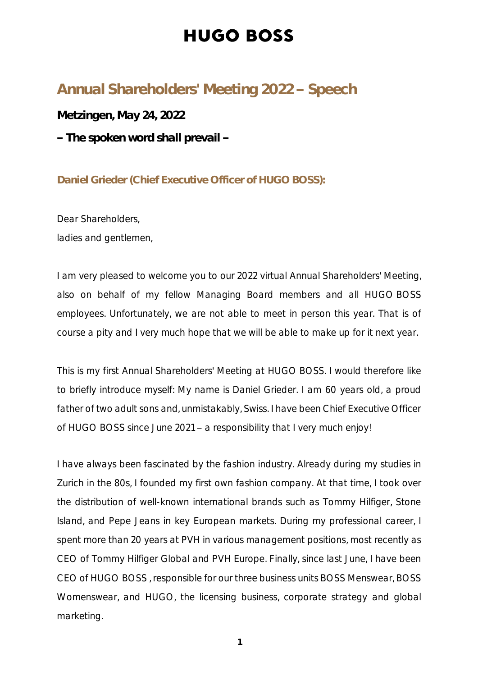#### Annual Shareholders' Meeting 2022 - Speech

**Metzingen, May 24, 2022**

**The spoken word shall prevail** 

**Daniel Grieder (Chief Executive Officer of HUGO BOSS):**

Dear Shareholders, ladies and gentlemen,

I am very pleased to welcome you to our 2022 virtual Annual Shareholders' Meeting, also on behalf of my fellow Managing Board members and all HUGO BOSS employees. Unfortunately, we are not able to meet in person this year. That is of course a pity and I very much hope that we will be able to make up for it next year.

This is my first Annual Shareholders' Meeting at HUGO BOSS. I would therefore like to briefly introduce myself: My name is Daniel Grieder. I am 60 years old, a proud father of two adult sons and, unmistakably, Swiss. I have been Chief Executive Officer of HUGO BOSS since June 2021  $-$  a responsibility that I very much enjoy!

I have always been fascinated by the fashion industry. Already during my studies in Zurich in the 80s, I founded my first own fashion company. At that time, I took over the distribution of well-known international brands such as Tommy Hilfiger, Stone Island, and Pepe Jeans in key European markets. During my professional career, I spent more than 20 years at PVH in various management positions, most recently as CEO of Tommy Hilfiger Global and PVH Europe. Finally, since last June, I have been CEO of HUGO BOSS , responsible for our three business units BOSS Menswear, BOSS Womenswear, and HUGO, the licensing business, corporate strategy and global marketing.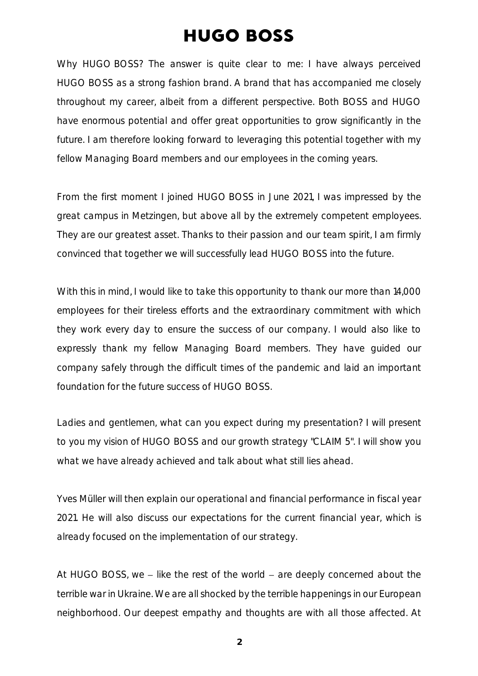Why HUGO BOSS? The answer is quite clear to me: I have always perceived HUGO BOSS as a strong fashion brand. A brand that has accompanied me closely throughout my career, albeit from a different perspective. Both BOSS and HUGO have enormous potential and offer great opportunities to grow significantly in the future. I am therefore looking forward to leveraging this potential together with my fellow Managing Board members and our employees in the coming years.

From the first moment I joined HUGO BOSS in June 2021, I was impressed by the great campus in Metzingen, but above all by the extremely competent employees. They are our greatest asset. Thanks to their passion and our team spirit, I am firmly convinced that together we will successfully lead HUGO BOSS into the future.

With this in mind, I would like to take this opportunity to thank our more than 14,000 employees for their tireless efforts and the extraordinary commitment with which they work every day to ensure the success of our company. I would also like to expressly thank my fellow Managing Board members. They have guided our company safely through the difficult times of the pandemic and laid an important foundation for the future success of HUGO BOSS.

Ladies and gentlemen, what can you expect during my presentation? I will present to you my vision of HUGO BOSS and our growth strategy "CLAIM 5". I will show you what we have already achieved and talk about what still lies ahead.

Yves Müller will then explain our operational and financial performance in fiscal year 2021. He will also discuss our expectations for the current financial year, which is already focused on the implementation of our strategy.

At HUGO BOSS, we  $-$  like the rest of the world  $-$  are deeply concerned about the terrible war in Ukraine. We are all shocked by the terrible happenings in our European neighborhood. Our deepest empathy and thoughts are with all those affected. At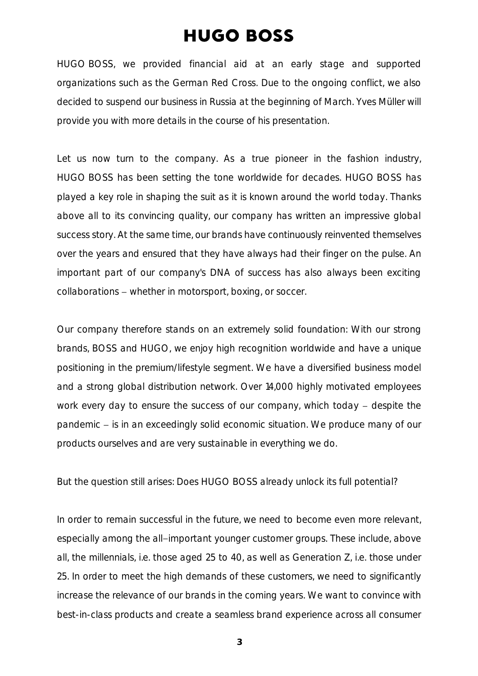HUGO BOSS, we provided financial aid at an early stage and supported organizations such as the German Red Cross. Due to the ongoing conflict, we also decided to suspend our business in Russia at the beginning of March. Yves Müller will provide you with more details in the course of his presentation.

Let us now turn to the company. As a true pioneer in the fashion industry, HUGO BOSS has been setting the tone worldwide for decades. HUGO BOSS has played a key role in shaping the suit as it is known around the world today. Thanks above all to its convincing quality, our company has written an impressive global success story. At the same time, our brands have continuously reinvented themselves over the years and ensured that they have always had their finger on the pulse. An important part of our company's DNA of success has also always been exciting collaborations – whether in motorsport, boxing, or soccer.

Our company therefore stands on an extremely solid foundation: With our strong brands, BOSS and HUGO, we enjoy high recognition worldwide and have a unique positioning in the premium/lifestyle segment. We have a diversified business model and a strong global distribution network. Over 14,000 highly motivated employees work every day to ensure the success of our company, which today  $-$  despite the pandemic – is in an exceedingly solid economic situation. We produce many of our products ourselves and are very sustainable in everything we do.

But the question still arises: Does HUGO BOSS already unlock its full potential?

In order to remain successful in the future, we need to become even more relevant, especially among the all-important younger customer groups. These include, above all, the millennials, i.e. those aged 25 to 40, as well as Generation Z, i.e. those under 25. In order to meet the high demands of these customers, we need to significantly increase the relevance of our brands in the coming years. We want to convince with best-in-class products and create a seamless brand experience across all consumer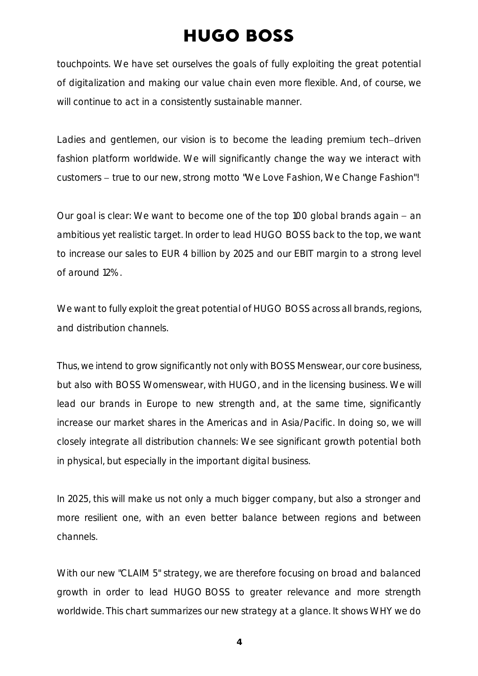touchpoints. We have set ourselves the goals of fully exploiting the great potential of digitalization and making our value chain even more flexible. And, of course, we will continue to act in a consistently sustainable manner.

Ladies and gentlemen, our vision is to become the leading premium tech-driven fashion platform worldwide. We will significantly change the way we interact with customers – true to our new, strong motto "We Love Fashion, We Change Fashion"!

Our goal is clear: We want to become one of the top 100 global brands again  $-$  an ambitious yet realistic target. In order to lead HUGO BOSS back to the top, we want to increase our sales to EUR 4 billion by 2025 and our EBIT margin to a strong level of around 12%.

We want to fully exploit the great potential of HUGO BOSS across all brands, regions, and distribution channels.

Thus, we intend to grow significantly not only with BOSS Menswear, our core business, but also with BOSS Womenswear, with HUGO, and in the licensing business. We will lead our brands in Europe to new strength and, at the same time, significantly increase our market shares in the Americas and in Asia/Pacific. In doing so, we will closely integrate all distribution channels: We see significant growth potential both in physical, but especially in the important digital business.

In 2025, this will make us not only a much bigger company, but also a stronger and more resilient one, with an even better balance between regions and between channels.

With our new "CLAIM 5" strategy, we are therefore focusing on broad and balanced growth in order to lead HUGO BOSS to greater relevance and more strength worldwide. This chart summarizes our new strategy at a glance. It shows WHY we do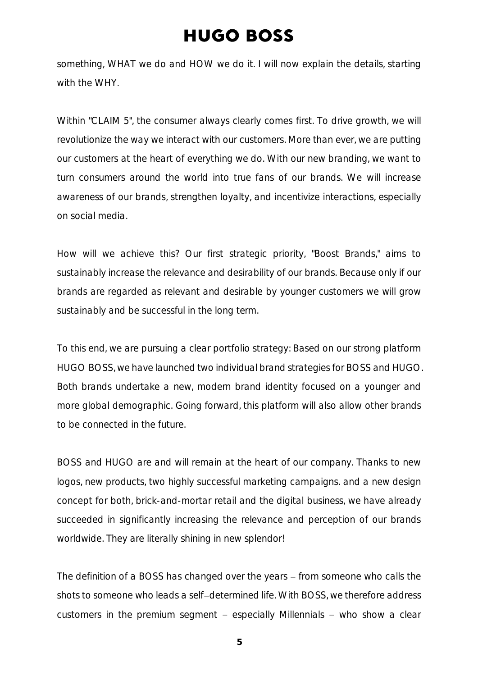something, WHAT we do and HOW we do it. I will now explain the details, starting with the WHY.

Within "CLAIM 5", the consumer always clearly comes first. To drive growth, we will revolutionize the way we interact with our customers. More than ever, we are putting our customers at the heart of everything we do. With our new branding, we want to turn consumers around the world into true fans of our brands. We will increase awareness of our brands, strengthen loyalty, and incentivize interactions, especially on social media.

How will we achieve this? Our first strategic priority, "Boost Brands," aims to sustainably increase the relevance and desirability of our brands. Because only if our brands are regarded as relevant and desirable by younger customers we will grow sustainably and be successful in the long term.

To this end, we are pursuing a clear portfolio strategy: Based on our strong platform HUGO BOSS, we have launched two individual brand strategies for BOSS and HUGO. Both brands undertake a new, modern brand identity focused on a younger and more global demographic. Going forward, this platform will also allow other brands to be connected in the future.

BOSS and HUGO are and will remain at the heart of our company. Thanks to new logos, new products, two highly successful marketing campaigns. and a new design concept for both, brick-and-mortar retail and the digital business, we have already succeeded in significantly increasing the relevance and perception of our brands worldwide. They are literally shining in new splendor!

The definition of a BOSS has changed over the years – from someone who calls the shots to someone who leads a self-determined life. With BOSS, we therefore address customers in the premium segment  $-$  especially Millennials  $-$  who show a clear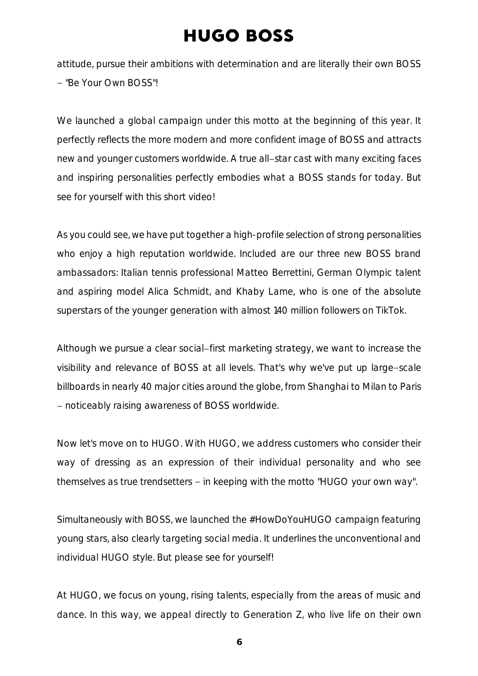attitude, pursue their ambitions with determination and are literally their own BOSS - "Be Your Own BOSS"!

We launched a global campaign under this motto at the beginning of this year. It perfectly reflects the more modern and more confident image of BOSS and attracts new and younger customers worldwide. A true all-star cast with many exciting faces and inspiring personalities perfectly embodies what a BOSS stands for today. But see for yourself with this short video!

As you could see, we have put together a high-profile selection of strong personalities who enjoy a high reputation worldwide. Included are our three new BOSS brand ambassadors: Italian tennis professional Matteo Berrettini, German Olympic talent and aspiring model Alica Schmidt, and Khaby Lame, who is one of the absolute superstars of the younger generation with almost 140 million followers on TikTok.

Although we pursue a clear social-first marketing strategy, we want to increase the visibility and relevance of BOSS at all levels. That's why we've put up large-scale billboards in nearly 40 major cities around the globe, from Shanghai to Milan to Paris noticeably raising awareness of BOSS worldwide.

Now let's move on to HUGO. With HUGO, we address customers who consider their way of dressing as an expression of their individual personality and who see themselves as true trendsetters  $-$  in keeping with the motto "HUGO your own way".

Simultaneously with BOSS, we launched the #HowDoYouHUGO campaign featuring young stars, also clearly targeting social media. It underlines the unconventional and individual HUGO style. But please see for yourself!

At HUGO, we focus on young, rising talents, especially from the areas of music and dance. In this way, we appeal directly to Generation Z, who live life on their own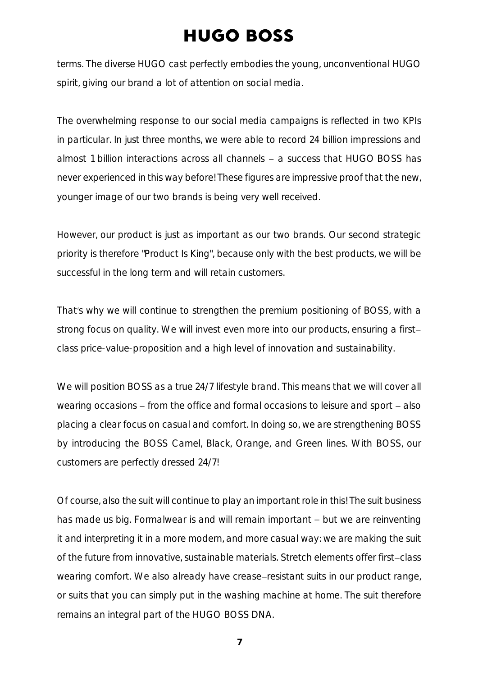terms. The diverse HUGO cast perfectly embodies the young, unconventional HUGO spirit, giving our brand a lot of attention on social media.

The overwhelming response to our social media campaigns is reflected in two KPIs in particular. In just three months, we were able to record 24 billion impressions and almost 1 billion interactions across all channels  $-$  a success that HUGO BOSS has never experienced in this way before! These figures are impressive proof that the new, younger image of our two brands is being very well received.

However, our product is just as important as our two brands. Our second strategic priority is therefore "Product Is King", because only with the best products, we will be successful in the long term and will retain customers.

That's why we will continue to strengthen the premium positioning of BOSS, with a strong focus on quality. We will invest even more into our products, ensuring a first class price-value-proposition and a high level of innovation and sustainability.

We will position BOSS as a true 24/7 lifestyle brand. This means that we will cover all wearing occasions  $-$  from the office and formal occasions to leisure and sport  $-$  also placing a clear focus on casual and comfort. In doing so, we are strengthening BOSS by introducing the BOSS Camel, Black, Orange, and Green lines. With BOSS, our customers are perfectly dressed 24/7!

Of course, also the suit will continue to play an important role in this! The suit business has made us big. Formalwear is and will remain important - but we are reinventing it and interpreting it in a more modern, and more casual way: we are making the suit of the future from innovative, sustainable materials. Stretch elements offer first-class wearing comfort. We also already have crease-resistant suits in our product range, or suits that you can simply put in the washing machine at home. The suit therefore remains an integral part of the HUGO BOSS DNA.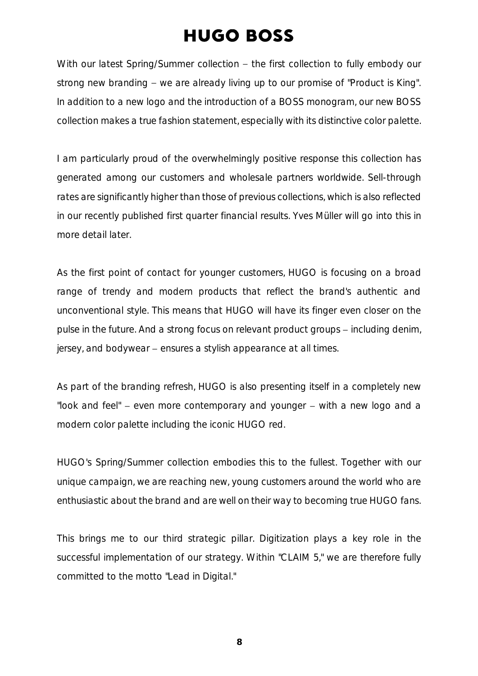With our latest Spring/Summer collection - the first collection to fully embody our strong new branding  $-$  we are already living up to our promise of "Product is King". In addition to a new logo and the introduction of a BOSS monogram, our new BOSS collection makes a true fashion statement, especially with its distinctive color palette.

I am particularly proud of the overwhelmingly positive response this collection has generated among our customers and wholesale partners worldwide. Sell-through rates are significantly higher than those of previous collections, which is also reflected in our recently published first quarter financial results. Yves Müller will go into this in more detail later.

As the first point of contact for younger customers, HUGO is focusing on a broad range of trendy and modern products that reflect the brand's authentic and unconventional style. This means that HUGO will have its finger even closer on the pulse in the future. And a strong focus on relevant product groups – including denim, jersey, and bodywear - ensures a stylish appearance at all times.

As part of the branding refresh, HUGO is also presenting itself in a completely new "look and feel"  $-$  even more contemporary and younger  $-$  with a new logo and a modern color palette including the iconic HUGO red.

HUGO's Spring/Summer collection embodies this to the fullest. Together with our unique campaign, we are reaching new, young customers around the world who are enthusiastic about the brand and are well on their way to becoming true HUGO fans.

This brings me to our third strategic pillar. Digitization plays a key role in the successful implementation of our strategy. Within "CLAIM 5," we are therefore fully committed to the motto "Lead in Digital."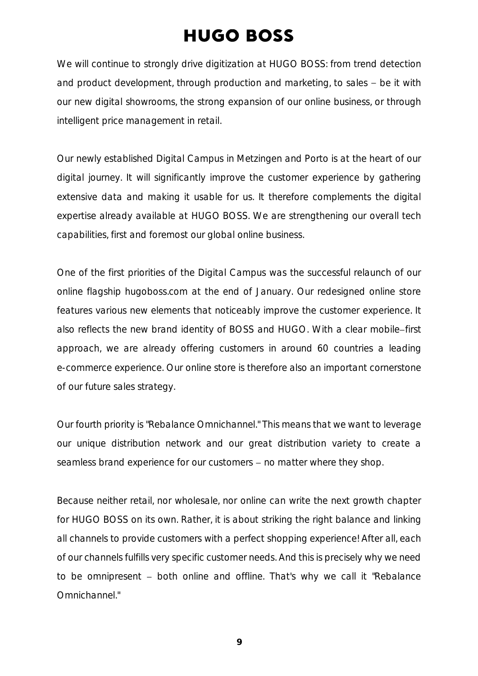We will continue to strongly drive digitization at HUGO BOSS: from trend detection and product development, through production and marketing, to sales  $-$  be it with our new digital showrooms, the strong expansion of our online business, or through intelligent price management in retail.

Our newly established Digital Campus in Metzingen and Porto is at the heart of our digital journey. It will significantly improve the customer experience by gathering extensive data and making it usable for us. It therefore complements the digital expertise already available at HUGO BOSS. We are strengthening our overall tech capabilities, first and foremost our global online business.

One of the first priorities of the Digital Campus was the successful relaunch of our online flagship hugoboss.com at the end of January. Our redesigned online store features various new elements that noticeably improve the customer experience. It also reflects the new brand identity of BOSS and HUGO. With a clear mobile-first approach, we are already offering customers in around 60 countries a leading e-commerce experience. Our online store is therefore also an important cornerstone of our future sales strategy.

Our fourth priority is "Rebalance Omnichannel." This means that we want to leverage our unique distribution network and our great distribution variety to create a seamless brand experience for our customers - no matter where they shop.

Because neither retail, nor wholesale, nor online can write the next growth chapter for HUGO BOSS on its own. Rather, it is about striking the right balance and linking all channels to provide customers with a perfect shopping experience! After all, each of our channels fulfills very specific customer needs. And this is precisely why we need to be omnipresent - both online and offline. That's why we call it "Rebalance Omnichannel."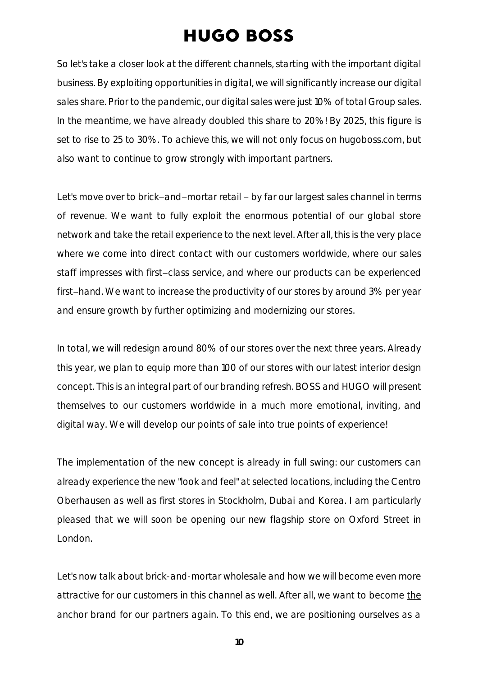So let's take a closer look at the different channels, starting with the important digital business. By exploiting opportunities in digital, we will significantly increase our digital sales share. Prior to the pandemic, our digital sales were just 10% of total Group sales. In the meantime, we have already doubled this share to 20%! By 2025, this figure is set to rise to 25 to 30%. To achieve this, we will not only focus on hugoboss.com, but also want to continue to grow strongly with important partners.

Let's move over to brick-and-mortar retail - by far our largest sales channel in terms of revenue. We want to fully exploit the enormous potential of our global store network and take the retail experience to the next level. After all, this is the very place where we come into direct contact with our customers worldwide, where our sales staff impresses with first-class service, and where our products can be experienced first-hand. We want to increase the productivity of our stores by around 3% per year and ensure growth by further optimizing and modernizing our stores.

In total, we will redesign around 80% of our stores over the next three years. Already this year, we plan to equip more than 100 of our stores with our latest interior design concept. This is an integral part of our branding refresh. BOSS and HUGO will present themselves to our customers worldwide in a much more emotional, inviting, and digital way. We will develop our points of sale into true points of experience!

The implementation of the new concept is already in full swing: our customers can already experience the new "look and feel" at selected locations, including the Centro Oberhausen as well as first stores in Stockholm, Dubai and Korea. I am particularly pleased that we will soon be opening our new flagship store on Oxford Street in London.

Let's now talk about brick-and-mortar wholesale and how we will become even more attractive for our customers in this channel as well. After all, we want to become the anchor brand for our partners again. To this end, we are positioning ourselves as a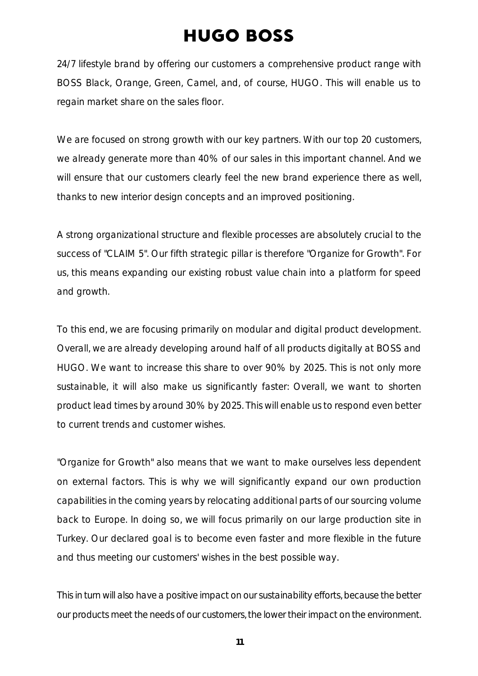24/7 lifestyle brand by offering our customers a comprehensive product range with BOSS Black, Orange, Green, Camel, and, of course, HUGO. This will enable us to regain market share on the sales floor.

We are focused on strong growth with our key partners. With our top 20 customers, we already generate more than 40% of our sales in this important channel. And we will ensure that our customers clearly feel the new brand experience there as well, thanks to new interior design concepts and an improved positioning.

A strong organizational structure and flexible processes are absolutely crucial to the success of "CLAIM 5". Our fifth strategic pillar is therefore "Organize for Growth". For us, this means expanding our existing robust value chain into a platform for speed and growth.

To this end, we are focusing primarily on modular and digital product development. Overall, we are already developing around half of all products digitally at BOSS and HUGO. We want to increase this share to over 90% by 2025. This is not only more sustainable, it will also make us significantly faster: Overall, we want to shorten product lead times by around 30% by 2025. This will enable us to respond even better to current trends and customer wishes.

"Organize for Growth" also means that we want to make ourselves less dependent on external factors. This is why we will significantly expand our own production capabilities in the coming years by relocating additional parts of our sourcing volume back to Europe. In doing so, we will focus primarily on our large production site in Turkey. Our declared goal is to become even faster and more flexible in the future and thus meeting our customers' wishes in the best possible way.

This in turn will also have a positive impact on our sustainability efforts, because the better our products meet the needs of our customers, the lower their impact on the environment.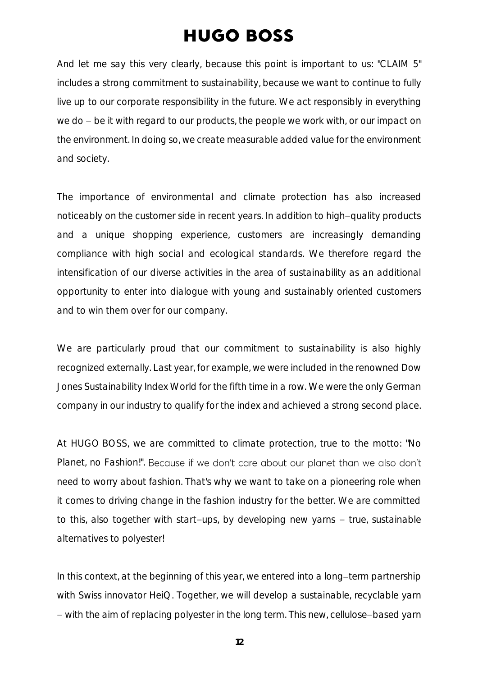And let me say this very clearly, because this point is important to us: "CLAIM 5" includes a strong commitment to sustainability, because we want to continue to fully live up to our corporate responsibility in the future. We act responsibly in everything we do  $-$  be it with regard to our products, the people we work with, or our impact on the environment. In doing so, we create measurable added value for the environment and society.

The importance of environmental and climate protection has also increased noticeably on the customer side in recent years. In addition to high-quality products and a unique shopping experience, customers are increasingly demanding compliance with high social and ecological standards. We therefore regard the intensification of our diverse activities in the area of sustainability as an additional opportunity to enter into dialogue with young and sustainably oriented customers and to win them over for our company.

We are particularly proud that our commitment to sustainability is also highly recognized externally. Last year, for example, we were included in the renowned Dow Jones Sustainability Index World for the fifth time in a row. We were the only German company in our industry to qualify for the index and achieved a strong second place.

At HUGO BOSS, we are committed to climate protection, true to the motto: "No Planet, no Fashion!". Because if we don't care about our planet than we also don't need to worry about fashion. That's why we want to take on a pioneering role when it comes to driving change in the fashion industry for the better. We are committed to this, also together with start-ups, by developing new yarns  $-$  true, sustainable alternatives to polyester!

In this context, at the beginning of this year, we entered into a long-term partnership with Swiss innovator HeiQ. Together, we will develop a sustainable, recyclable yarn - with the aim of replacing polyester in the long term. This new, cellulose-based yarn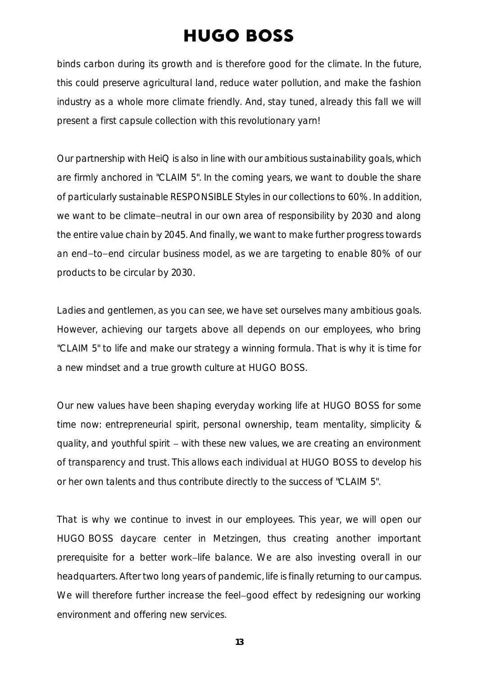binds carbon during its growth and is therefore good for the climate. In the future, this could preserve agricultural land, reduce water pollution, and make the fashion industry as a whole more climate friendly. And, stay tuned, already this fall we will present a first capsule collection with this revolutionary yarn!

Our partnership with HeiQ is also in line with our ambitious sustainability goals, which are firmly anchored in "CLAIM 5". In the coming years, we want to double the share of particularly sustainable RESPONSIBLE Styles in our collections to 60%. In addition, we want to be climate-neutral in our own area of responsibility by 2030 and along the entire value chain by 2045. And finally, we want to make further progress towards an end-to-end circular business model, as we are targeting to enable 80% of our products to be circular by 2030.

Ladies and gentlemen, as you can see, we have set ourselves many ambitious goals. However, achieving our targets above all depends on our employees, who bring "CLAIM 5" to life and make our strategy a winning formula. That is why it is time for a new mindset and a true growth culture at HUGO BOSS.

Our new values have been shaping everyday working life at HUGO BOSS for some time now: entrepreneurial spirit, personal ownership, team mentality, simplicity & quality, and youthful spirit  $-$  with these new values, we are creating an environment of transparency and trust. This allows each individual at HUGO BOSS to develop his or her own talents and thus contribute directly to the success of "CLAIM 5".

That is why we continue to invest in our employees. This year, we will open our HUGO BOSS daycare center in Metzingen, thus creating another important prerequisite for a better work-life balance. We are also investing overall in our headquarters. After two long years of pandemic, life is finally returning to our campus. We will therefore further increase the feel-good effect by redesigning our working environment and offering new services.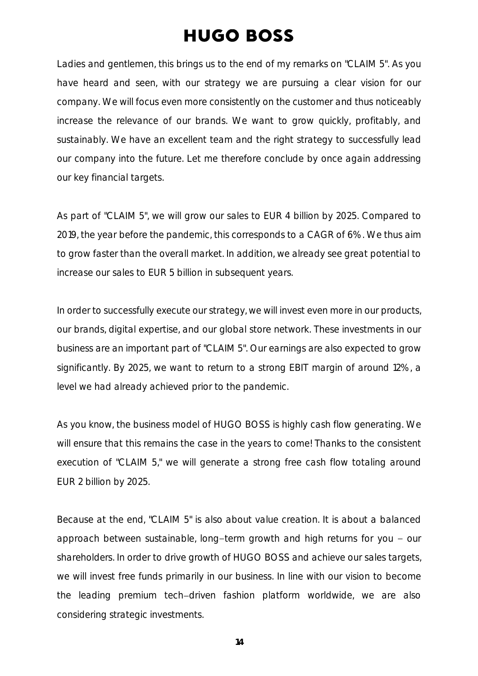Ladies and gentlemen, this brings us to the end of my remarks on "CLAIM 5". As you have heard and seen, with our strategy we are pursuing a clear vision for our company. We will focus even more consistently on the customer and thus noticeably increase the relevance of our brands. We want to grow quickly, profitably, and sustainably. We have an excellent team and the right strategy to successfully lead our company into the future. Let me therefore conclude by once again addressing our key financial targets.

As part of "CLAIM 5", we will grow our sales to EUR 4 billion by 2025. Compared to 2019, the year before the pandemic, this corresponds to a CAGR of 6%. We thus aim to grow faster than the overall market. In addition, we already see great potential to increase our sales to EUR 5 billion in subsequent years.

In order to successfully execute our strategy, we will invest even more in our products, our brands, digital expertise, and our global store network. These investments in our business are an important part of "CLAIM 5". Our earnings are also expected to grow significantly. By 2025, we want to return to a strong EBIT margin of around 12%, a level we had already achieved prior to the pandemic.

As you know, the business model of HUGO BOSS is highly cash flow generating. We will ensure that this remains the case in the years to come! Thanks to the consistent execution of "CLAIM 5," we will generate a strong free cash flow totaling around EUR 2 billion by 2025.

Because at the end, "CLAIM 5" is also about value creation. It is about a balanced approach between sustainable, long-term growth and high returns for you  $-$  our shareholders. In order to drive growth of HUGO BOSS and achieve our sales targets, we will invest free funds primarily in our business. In line with our vision to become the leading premium tech driven fashion platform worldwide, we are also considering strategic investments.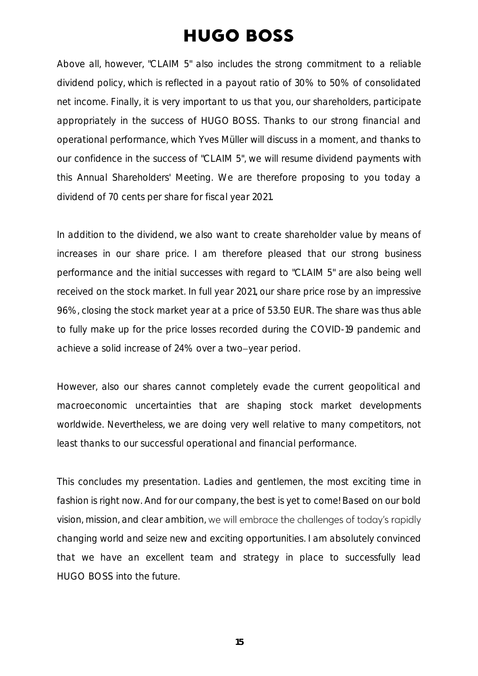Above all, however, "CLAIM 5" also includes the strong commitment to a reliable dividend policy, which is reflected in a payout ratio of 30% to 50% of consolidated net income. Finally, it is very important to us that you, our shareholders, participate appropriately in the success of HUGO BOSS. Thanks to our strong financial and operational performance, which Yves Müller will discuss in a moment, and thanks to our confidence in the success of "CLAIM 5", we will resume dividend payments with this Annual Shareholders' Meeting. We are therefore proposing to you today a dividend of 70 cents per share for fiscal year 2021.

In addition to the dividend, we also want to create shareholder value by means of increases in our share price. I am therefore pleased that our strong business performance and the initial successes with regard to "CLAIM 5" are also being well received on the stock market. In full year 2021, our share price rose by an impressive 96%, closing the stock market year at a price of 53.50 EUR. The share was thus able to fully make up for the price losses recorded during the COVID-19 pandemic and achieve a solid increase of 24% over a two-year period.

However, also our shares cannot completely evade the current geopolitical and macroeconomic uncertainties that are shaping stock market developments worldwide. Nevertheless, we are doing very well relative to many competitors, not least thanks to our successful operational and financial performance.

This concludes my presentation. Ladies and gentlemen, the most exciting time in fashion is right now. And for our company, the best is yet to come! Based on our bold vision, mission, and clear ambition, we will embrace the challenges of today's rapidly changing world and seize new and exciting opportunities. I am absolutely convinced that we have an excellent team and strategy in place to successfully lead HUGO BOSS into the future.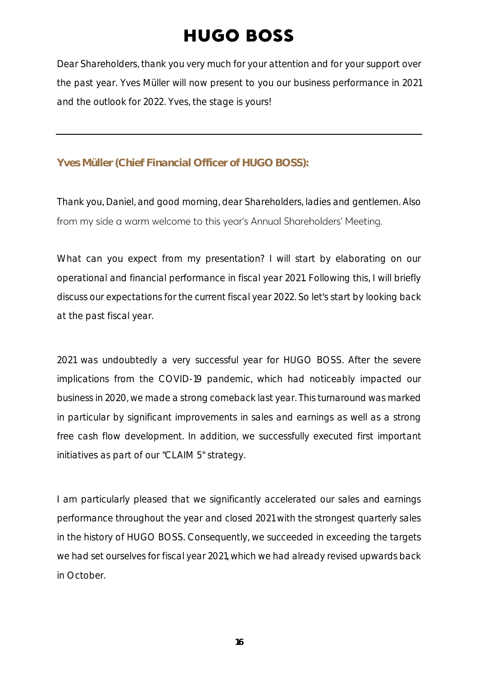Dear Shareholders, thank you very much for your attention and for your support over the past year. Yves Müller will now present to you our business performance in 2021 and the outlook for 2022. Yves, the stage is yours!

#### **Yves Müller (Chief Financial Officer of HUGO BOSS):**

Thank you, Daniel, and good morning, dear Shareholders, ladies and gentlemen. Also from my side a warm welcome to this year's Annual Shareholders' Meeting.

What can you expect from my presentation? I will start by elaborating on our operational and financial performance in fiscal year 2021. Following this, I will briefly discuss our expectations for the current fiscal year 2022. So let's start by looking back at the past fiscal year.

2021 was undoubtedly a very successful year for HUGO BOSS. After the severe implications from the COVID-19 pandemic, which had noticeably impacted our business in 2020, we made a strong comeback last year. This turnaround was marked in particular by significant improvements in sales and earnings as well as a strong free cash flow development. In addition, we successfully executed first important initiatives as part of our "CLAIM 5" strategy.

I am particularly pleased that we significantly accelerated our sales and earnings performance throughout the year and closed 2021 with the strongest quarterly sales in the history of HUGO BOSS. Consequently, we succeeded in exceeding the targets we had set ourselves for fiscal year 2021, which we had already revised upwards back in October.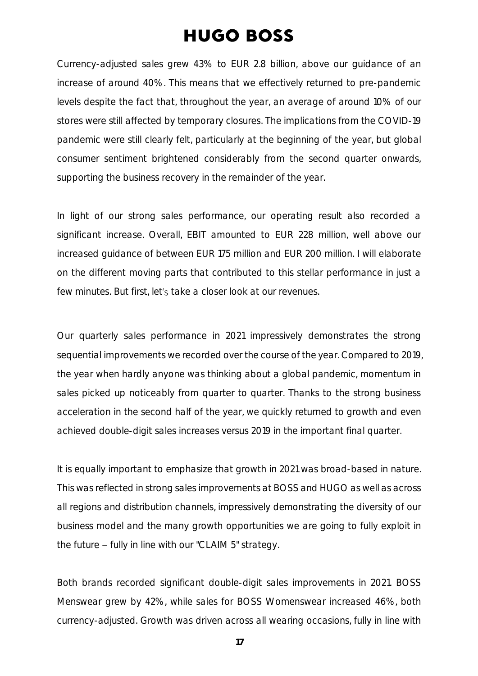Currency-adjusted sales grew 43% to EUR 2.8 billion, above our guidance of an increase of around 40%. This means that we effectively returned to pre-pandemic levels despite the fact that, throughout the year, an average of around 10% of our stores were still affected by temporary closures. The implications from the COVID-19 pandemic were still clearly felt, particularly at the beginning of the year, but global consumer sentiment brightened considerably from the second quarter onwards, supporting the business recovery in the remainder of the year.

In light of our strong sales performance, our operating result also recorded a significant increase. Overall, EBIT amounted to EUR 228 million, well above our increased guidance of between EUR 175 million and EUR 200 million. I will elaborate on the different moving parts that contributed to this stellar performance in just a few minutes. But first, let's take a closer look at our revenues.

Our quarterly sales performance in 2021 impressively demonstrates the strong sequential improvements we recorded over the course of the year. Compared to 2019, the year when hardly anyone was thinking about a global pandemic, momentum in sales picked up noticeably from quarter to quarter. Thanks to the strong business acceleration in the second half of the year, we quickly returned to growth and even achieved double-digit sales increases versus 2019 in the important final quarter.

It is equally important to emphasize that growth in 2021 was broad-based in nature. This was reflected in strong sales improvements at BOSS and HUGO as well as across all regions and distribution channels, impressively demonstrating the diversity of our business model and the many growth opportunities we are going to fully exploit in the future  $-$  fully in line with our "CLAIM 5" strategy.

Both brands recorded significant double-digit sales improvements in 2021. BOSS Menswear grew by 42%, while sales for BOSS Womenswear increased 46%, both currency-adjusted. Growth was driven across all wearing occasions, fully in line with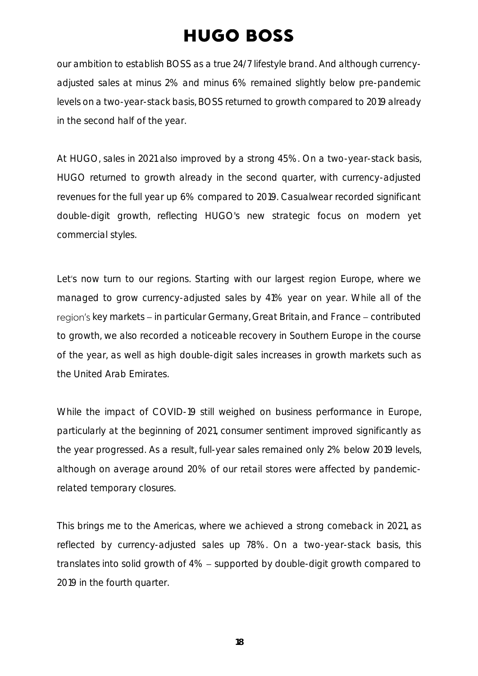our ambition to establish BOSS as a true 24/7 lifestyle brand. And although currencyadjusted sales at minus 2% and minus 6% remained slightly below pre-pandemic levels on a two-year-stack basis, BOSS returned to growth compared to 2019 already in the second half of the year.

At HUGO, sales in 2021 also improved by a strong 45%. On a two-year-stack basis, HUGO returned to growth already in the second quarter, with currency-adjusted revenues for the full year up 6% compared to 2019. Casualwear recorded significant double-digit growth, reflecting HUGO's new strategic focus on modern yet commercial styles.

Let's now turn to our regions. Starting with our largest region Europe, where we managed to grow currency-adjusted sales by 41% year on year. While all of the region's key markets – in particular Germany, Great Britain, and France – contributed to growth, we also recorded a noticeable recovery in Southern Europe in the course of the year, as well as high double-digit sales increases in growth markets such as the United Arab Emirates.

While the impact of COVID-19 still weighed on business performance in Europe, particularly at the beginning of 2021, consumer sentiment improved significantly as the year progressed. As a result, full-year sales remained only 2% below 2019 levels, although on average around 20% of our retail stores were affected by pandemicrelated temporary closures.

This brings me to the Americas, where we achieved a strong comeback in 2021, as reflected by currency-adjusted sales up 78%. On a two-year-stack basis, this translates into solid growth of  $4\%$  - supported by double-digit growth compared to 2019 in the fourth quarter.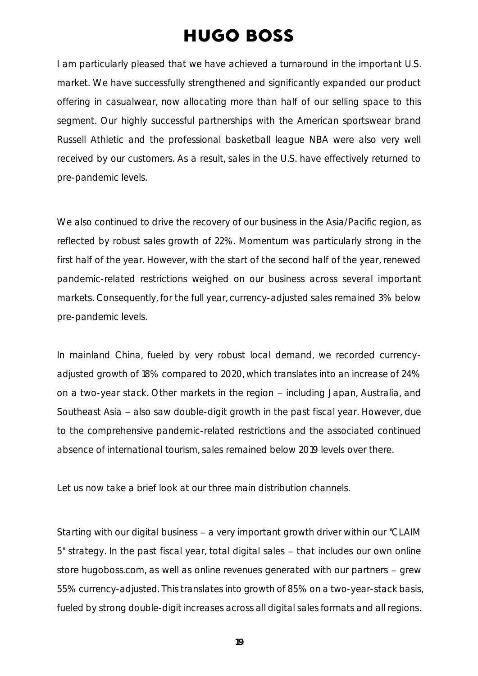I am particularly pleased that we have achieved a turnaround in the important U.S. market. We have successfully strengthened and significantly expanded our product offering in casualwear, now allocating more than half of our selling space to this segment. Our highly successful partnerships with the American sportswear brand Russell Athletic and the professional basketball league NBA were also very well received by our customers. As a result, sales in the U.S. have effectively returned to pre-pandemic levels.

We also continued to drive the recovery of our business in the Asia/Pacific region, as reflected by robust sales growth of 22%. Momentum was particularly strong in the first half of the year. However, with the start of the second half of the year, renewed pandemic-related restrictions weighed on our business across several important markets. Consequently, for the full year, currency-adjusted sales remained 3% below pre-pandemic levels.

In mainland China, fueled by very robust local demand, we recorded currencyadjusted growth of 18% compared to 2020, which translates into an increase of 24% on a two-year stack. Other markets in the region - including Japan, Australia, and Southeast Asia - also saw double-digit growth in the past fiscal year. However, due to the comprehensive pandemic-related restrictions and the associated continued absence of international tourism, sales remained below 2019 levels over there.

Let us now take a brief look at our three main distribution channels.

Starting with our digital business  $-$  a very important growth driver within our "CLAIM  $5"$  strategy. In the past fiscal year, total digital sales  $-$  that includes our own online store hugoboss.com, as well as online revenues generated with our partners  $-$  grew 55% currency-adjusted. This translates into growth of 85% on a two-year-stack basis, fueled by strong double-digit increases across all digital sales formats and all regions.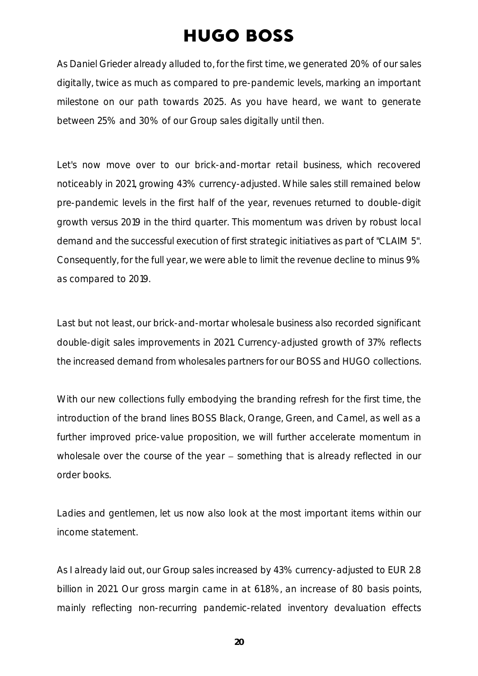As Daniel Grieder already alluded to, for the first time, we generated 20% of our sales digitally, twice as much as compared to pre-pandemic levels, marking an important milestone on our path towards 2025. As you have heard, we want to generate between 25% and 30% of our Group sales digitally until then.

Let's now move over to our brick-and-mortar retail business, which recovered noticeably in 2021, growing 43% currency-adjusted. While sales still remained below pre-pandemic levels in the first half of the year, revenues returned to double-digit growth versus 2019 in the third quarter. This momentum was driven by robust local demand and the successful execution of first strategic initiatives as part of "CLAIM 5". Consequently, for the full year, we were able to limit the revenue decline to minus 9% as compared to 2019.

Last but not least, our brick-and-mortar wholesale business also recorded significant double-digit sales improvements in 2021. Currency-adjusted growth of 37% reflects the increased demand from wholesales partners for our BOSS and HUGO collections.

With our new collections fully embodying the branding refresh for the first time, the introduction of the brand lines BOSS Black, Orange, Green, and Camel, as well as a further improved price-value proposition, we will further accelerate momentum in wholesale over the course of the year  $-$  something that is already reflected in our order books.

Ladies and gentlemen, let us now also look at the most important items within our income statement.

As I already laid out, our Group sales increased by 43% currency-adjusted to EUR 2.8 billion in 2021. Our gross margin came in at 61.8%, an increase of 80 basis points, mainly reflecting non-recurring pandemic-related inventory devaluation effects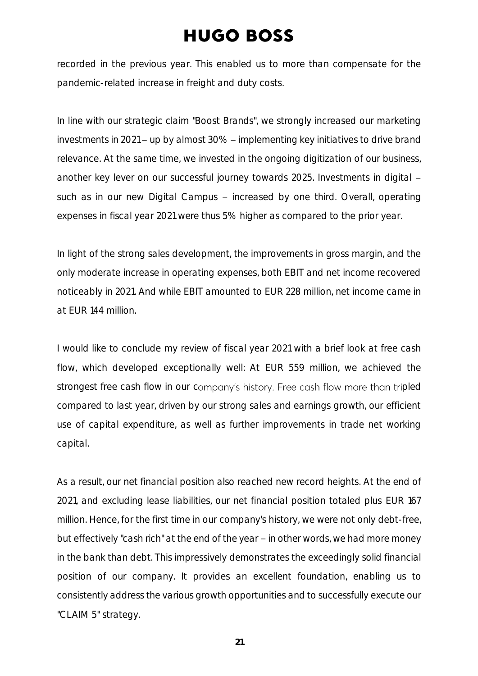recorded in the previous year. This enabled us to more than compensate for the pandemic-related increase in freight and duty costs.

In line with our strategic claim "Boost Brands", we strongly increased our marketing investments in 2021 - up by almost 30% - implementing key initiatives to drive brand relevance. At the same time, we invested in the ongoing digitization of our business, another key lever on our successful journey towards 2025. Investments in digital such as in our new Digital Campus - increased by one third. Overall, operating expenses in fiscal year 2021 were thus 5% higher as compared to the prior year.

In light of the strong sales development, the improvements in gross margin, and the only moderate increase in operating expenses, both EBIT and net income recovered noticeably in 2021. And while EBIT amounted to EUR 228 million, net income came in at EUR 144 million.

I would like to conclude my review of fiscal year 2021 with a brief look at free cash flow, which developed exceptionally well: At EUR 559 million, we achieved the strongest free cash flow in our company's history. Free cash flow more than tripled compared to last year, driven by our strong sales and earnings growth, our efficient use of capital expenditure, as well as further improvements in trade net working capital.

As a result, our net financial position also reached new record heights. At the end of 2021, and excluding lease liabilities, our net financial position totaled plus EUR 167 million. Hence, for the first time in our company's history, we were not only debt-free, but effectively "cash rich" at the end of the year  $-$  in other words, we had more money in the bank than debt. This impressively demonstrates the exceedingly solid financial position of our company. It provides an excellent foundation, enabling us to consistently address the various growth opportunities and to successfully execute our "CLAIM 5" strategy.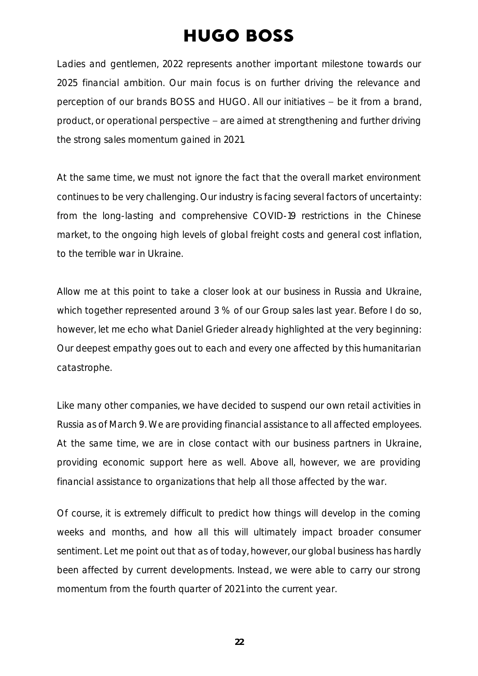Ladies and gentlemen, 2022 represents another important milestone towards our 2025 financial ambition. Our main focus is on further driving the relevance and perception of our brands BOSS and HUGO. All our initiatives - be it from a brand, product, or operational perspective – are aimed at strengthening and further driving the strong sales momentum gained in 2021.

At the same time, we must not ignore the fact that the overall market environment continues to be very challenging. Our industry is facing several factors of uncertainty: from the long-lasting and comprehensive COVID-19 restrictions in the Chinese market, to the ongoing high levels of global freight costs and general cost inflation, to the terrible war in Ukraine.

Allow me at this point to take a closer look at our business in Russia and Ukraine, which together represented around 3 % of our Group sales last year. Before I do so, however, let me echo what Daniel Grieder already highlighted at the very beginning: Our deepest empathy goes out to each and every one affected by this humanitarian catastrophe.

Like many other companies, we have decided to suspend our own retail activities in Russia as of March 9. We are providing financial assistance to all affected employees. At the same time, we are in close contact with our business partners in Ukraine, providing economic support here as well. Above all, however, we are providing financial assistance to organizations that help all those affected by the war.

Of course, it is extremely difficult to predict how things will develop in the coming weeks and months, and how all this will ultimately impact broader consumer sentiment. Let me point out that as of today, however, our global business has hardly been affected by current developments. Instead, we were able to carry our strong momentum from the fourth quarter of 2021 into the current year.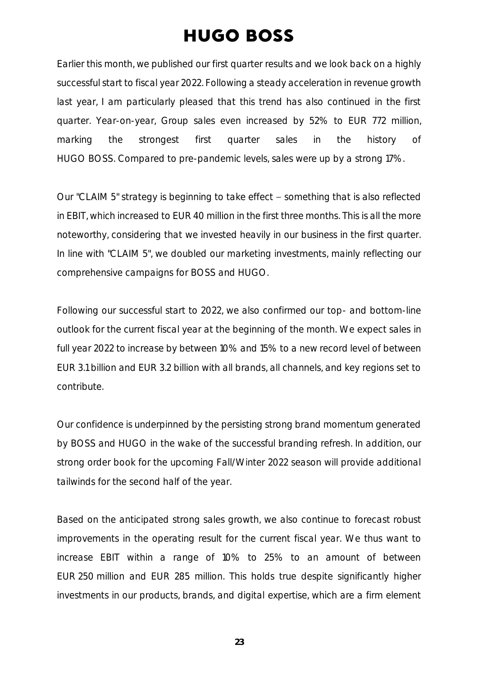Earlier this month, we published our first quarter results and we look back on a highly successful start to fiscal year 2022. Following a steady acceleration in revenue growth last year, I am particularly pleased that this trend has also continued in the first quarter. Year-on-year, Group sales even increased by 52% to EUR 772 million, marking the strongest first quarter sales in the history of HUGO BOSS. Compared to pre-pandemic levels, sales were up by a strong 17%.

Our "CLAIM 5" strategy is beginning to take effect - something that is also reflected in EBIT, which increased to EUR 40 million in the first three months. This is all the more noteworthy, considering that we invested heavily in our business in the first quarter. In line with "CLAIM 5", we doubled our marketing investments, mainly reflecting our comprehensive campaigns for BOSS and HUGO.

Following our successful start to 2022, we also confirmed our top- and bottom-line outlook for the current fiscal year at the beginning of the month. We expect sales in full year 2022 to increase by between 10% and 15% to a new record level of between EUR 3.1 billion and EUR 3.2 billion with all brands, all channels, and key regions set to contribute.

Our confidence is underpinned by the persisting strong brand momentum generated by BOSS and HUGO in the wake of the successful branding refresh. In addition, our strong order book for the upcoming Fall/Winter 2022 season will provide additional tailwinds for the second half of the year.

Based on the anticipated strong sales growth, we also continue to forecast robust improvements in the operating result for the current fiscal year. We thus want to increase EBIT within a range of 10% to 25% to an amount of between EUR 250 million and EUR 285 million. This holds true despite significantly higher investments in our products, brands, and digital expertise, which are a firm element